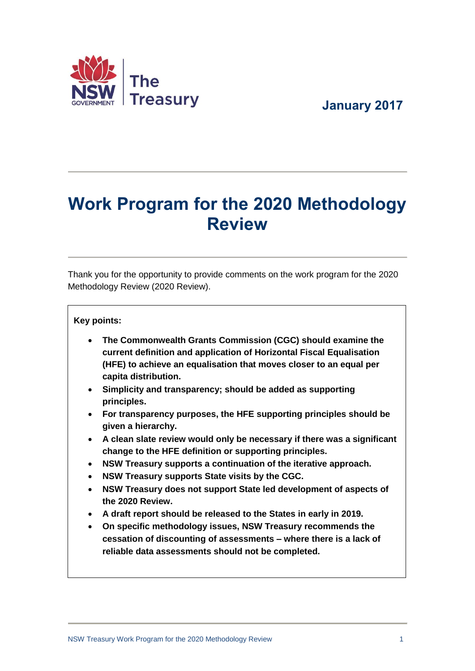



# **Work Program for the 2020 Methodology Review**

Thank you for the opportunity to provide comments on the work program for the 2020 Methodology Review (2020 Review).

#### **Key points:**

- **The Commonwealth Grants Commission (CGC) should examine the current definition and application of Horizontal Fiscal Equalisation (HFE) to achieve an equalisation that moves closer to an equal per capita distribution.**
- **Simplicity and transparency; should be added as supporting principles.**
- **For transparency purposes, the HFE supporting principles should be given a hierarchy.**
- **A clean slate review would only be necessary if there was a significant change to the HFE definition or supporting principles.**
- **NSW Treasury supports a continuation of the iterative approach.**
- **NSW Treasury supports State visits by the CGC.**
- **NSW Treasury does not support State led development of aspects of the 2020 Review.**
- **A draft report should be released to the States in early in 2019.**
- **On specific methodology issues, NSW Treasury recommends the cessation of discounting of assessments – where there is a lack of reliable data assessments should not be completed.**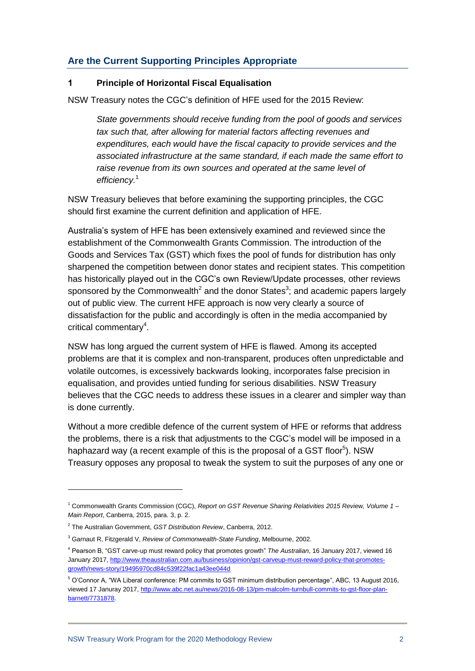## **Are the Current Supporting Principles Appropriate**

#### **1 Principle of Horizontal Fiscal Equalisation**

NSW Treasury notes the CGC's definition of HFE used for the 2015 Review:

*State governments should receive funding from the pool of goods and services tax such that, after allowing for material factors affecting revenues and expenditures, each would have the fiscal capacity to provide services and the associated infrastructure at the same standard, if each made the same effort to raise revenue from its own sources and operated at the same level of efficiency.*<sup>1</sup>

NSW Treasury believes that before examining the supporting principles, the CGC should first examine the current definition and application of HFE.

Australia's system of HFE has been extensively examined and reviewed since the establishment of the Commonwealth Grants Commission. The introduction of the Goods and Services Tax (GST) which fixes the pool of funds for distribution has only sharpened the competition between donor states and recipient states. This competition has historically played out in the CGC's own Review/Update processes, other reviews sponsored by the Commonwealth<sup>2</sup> and the donor States<sup>3</sup>; and academic papers largely out of public view. The current HFE approach is now very clearly a source of dissatisfaction for the public and accordingly is often in the media accompanied by critical commentary<sup>4</sup>.

NSW has long argued the current system of HFE is flawed. Among its accepted problems are that it is complex and non-transparent, produces often unpredictable and volatile outcomes, is excessively backwards looking, incorporates false precision in equalisation, and provides untied funding for serious disabilities. NSW Treasury believes that the CGC needs to address these issues in a clearer and simpler way than is done currently.

Without a more credible defence of the current system of HFE or reforms that address the problems, there is a risk that adjustments to the CGC's model will be imposed in a haphazard way (a recent example of this is the proposal of a GST floor<sup>5</sup>). NSW Treasury opposes any proposal to tweak the system to suit the purposes of any one or

1

<sup>1</sup> Commonwealth Grants Commission (CGC), *Report on GST Revenue Sharing Relativities 2015 Review, Volume 1 – Main Report*, Canberra, 2015, para. 3, p. 2.

<sup>2</sup> The Australian Government, *GST Distribution Review*, Canberra, 2012.

<sup>3</sup> Garnaut R, Fitzgerald V, *Review of Commonwealth-State Funding*, Melbourne, 2002.

<sup>4</sup> Pearson B, "GST carve-up must reward policy that promotes growth" *The Australian*, 16 January 2017, viewed 16 January 2017, [http://www.theaustralian.com.au/business/opinion/gst-carveup-must-reward-policy-that-promotes](http://www.theaustralian.com.au/business/opinion/gst-carveup-must-reward-policy-that-promotes-growth/news-story/19495970cd84c539f22fac1a43ee044d)[growth/news-story/19495970cd84c539f22fac1a43ee044d](http://www.theaustralian.com.au/business/opinion/gst-carveup-must-reward-policy-that-promotes-growth/news-story/19495970cd84c539f22fac1a43ee044d)

<sup>5</sup> O'Connor A, "WA Liberal conference: PM commits to GST minimum distribution percentage", ABC, 13 August 2016, viewed 17 Januray 2017[, http://www.abc.net.au/news/2016-08-13/pm-malcolm-turnbull-commits-to-gst-floor-plan](http://www.abc.net.au/news/2016-08-13/pm-malcolm-turnbull-commits-to-gst-floor-plan-barnett/7731878)[barnett/7731878.](http://www.abc.net.au/news/2016-08-13/pm-malcolm-turnbull-commits-to-gst-floor-plan-barnett/7731878)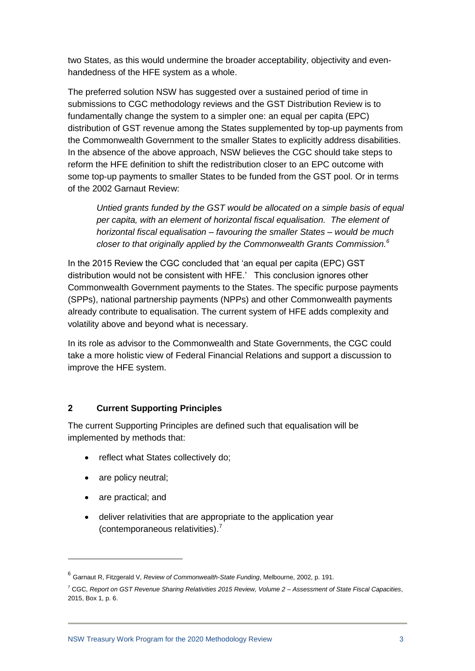two States, as this would undermine the broader acceptability, objectivity and evenhandedness of the HFE system as a whole.

The preferred solution NSW has suggested over a sustained period of time in submissions to CGC methodology reviews and the GST Distribution Review is to fundamentally change the system to a simpler one: an equal per capita (EPC) distribution of GST revenue among the States supplemented by top-up payments from the Commonwealth Government to the smaller States to explicitly address disabilities. In the absence of the above approach, NSW believes the CGC should take steps to reform the HFE definition to shift the redistribution closer to an EPC outcome with some top-up payments to smaller States to be funded from the GST pool. Or in terms of the 2002 Garnaut Review:

*Untied grants funded by the GST would be allocated on a simple basis of equal per capita, with an element of horizontal fiscal equalisation. The element of horizontal fiscal equalisation – favouring the smaller States – would be much closer to that originally applied by the Commonwealth Grants Commission.<sup>6</sup>*

In the 2015 Review the CGC concluded that 'an equal per capita (EPC) GST distribution would not be consistent with HFE.' This conclusion ignores other Commonwealth Government payments to the States. The specific purpose payments (SPPs), national partnership payments (NPPs) and other Commonwealth payments already contribute to equalisation. The current system of HFE adds complexity and volatility above and beyond what is necessary.

In its role as advisor to the Commonwealth and State Governments, the CGC could take a more holistic view of Federal Financial Relations and support a discussion to improve the HFE system.

## **2 Current Supporting Principles**

The current Supporting Principles are defined such that equalisation will be implemented by methods that:

- reflect what States collectively do;
- are policy neutral;
- are practical: and

1

 deliver relativities that are appropriate to the application year (contemporaneous relativities). 7

<sup>6</sup> Garnaut R, Fitzgerald V, *Review of Commonwealth-State Funding*, Melbourne, 2002, p. 191.

<sup>7</sup> CGC, *Report on GST Revenue Sharing Relativities 2015 Review, Volume 2 – Assessment of State Fiscal Capacities*, 2015, Box 1, p. 6.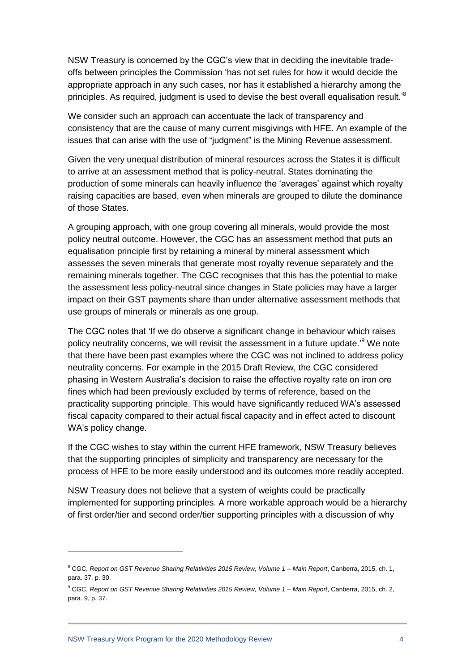NSW Treasury is concerned by the CGC's view that in deciding the inevitable tradeoffs between principles the Commission 'has not set rules for how it would decide the appropriate approach in any such cases, nor has it established a hierarchy among the principles. As required, judgment is used to devise the best overall equalisation result.<sup>,8</sup>

We consider such an approach can accentuate the lack of transparency and consistency that are the cause of many current misgivings with HFE. An example of the issues that can arise with the use of "judgment" is the Mining Revenue assessment.

Given the very unequal distribution of mineral resources across the States it is difficult to arrive at an assessment method that is policy-neutral. States dominating the production of some minerals can heavily influence the 'averages' against which royalty raising capacities are based, even when minerals are grouped to dilute the dominance of those States.

A grouping approach, with one group covering all minerals, would provide the most policy neutral outcome. However, the CGC has an assessment method that puts an equalisation principle first by retaining a mineral by mineral assessment which assesses the seven minerals that generate most royalty revenue separately and the remaining minerals together. The CGC recognises that this has the potential to make the assessment less policy-neutral since changes in State policies may have a larger impact on their GST payments share than under alternative assessment methods that use groups of minerals or minerals as one group.

The CGC notes that 'If we do observe a significant change in behaviour which raises policy neutrality concerns, we will revisit the assessment in a future update.<sup>'9</sup> We note that there have been past examples where the CGC was not inclined to address policy neutrality concerns. For example in the 2015 Draft Review, the CGC considered phasing in Western Australia's decision to raise the effective royalty rate on iron ore fines which had been previously excluded by terms of reference, based on the practicality supporting principle. This would have significantly reduced WA's assessed fiscal capacity compared to their actual fiscal capacity and in effect acted to discount WA's policy change.

If the CGC wishes to stay within the current HFE framework, NSW Treasury believes that the supporting principles of simplicity and transparency are necessary for the process of HFE to be more easily understood and its outcomes more readily accepted.

NSW Treasury does not believe that a system of weights could be practically implemented for supporting principles. A more workable approach would be a hierarchy of first order/tier and second order/tier supporting principles with a discussion of why

1

<sup>8</sup> CGC, *Report on GST Revenue Sharing Relativities 2015 Review, Volume 1 – Main Report*, Canberra, 2015, ch. 1, para. 37, p. 30.

<sup>9</sup> CGC, *Report on GST Revenue Sharing Relativities 2015 Review, Volume 1 – Main Report*, Canberra, 2015, ch. 2, para. 9, p. 37.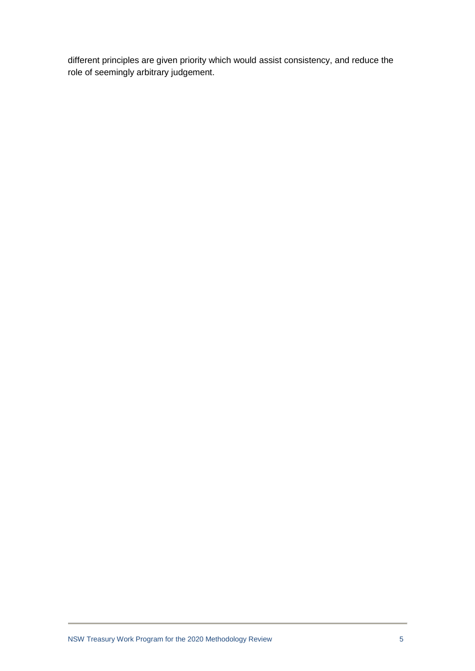different principles are given priority which would assist consistency, and reduce the role of seemingly arbitrary judgement.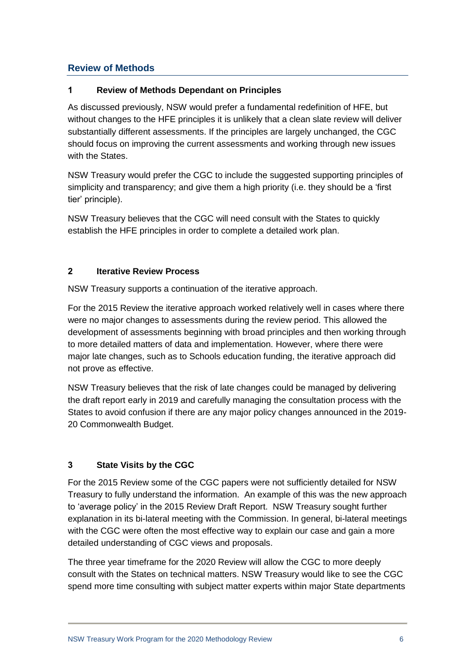# **Review of Methods**

## **1 Review of Methods Dependant on Principles**

As discussed previously, NSW would prefer a fundamental redefinition of HFE, but without changes to the HFE principles it is unlikely that a clean slate review will deliver substantially different assessments. If the principles are largely unchanged, the CGC should focus on improving the current assessments and working through new issues with the States.

NSW Treasury would prefer the CGC to include the suggested supporting principles of simplicity and transparency; and give them a high priority (i.e. they should be a 'first tier' principle).

NSW Treasury believes that the CGC will need consult with the States to quickly establish the HFE principles in order to complete a detailed work plan.

## **2 Iterative Review Process**

NSW Treasury supports a continuation of the iterative approach.

For the 2015 Review the iterative approach worked relatively well in cases where there were no major changes to assessments during the review period. This allowed the development of assessments beginning with broad principles and then working through to more detailed matters of data and implementation. However, where there were major late changes, such as to Schools education funding, the iterative approach did not prove as effective.

NSW Treasury believes that the risk of late changes could be managed by delivering the draft report early in 2019 and carefully managing the consultation process with the States to avoid confusion if there are any major policy changes announced in the 2019- 20 Commonwealth Budget.

# **3 State Visits by the CGC**

For the 2015 Review some of the CGC papers were not sufficiently detailed for NSW Treasury to fully understand the information. An example of this was the new approach to 'average policy' in the 2015 Review Draft Report. NSW Treasury sought further explanation in its bi-lateral meeting with the Commission. In general, bi-lateral meetings with the CGC were often the most effective way to explain our case and gain a more detailed understanding of CGC views and proposals.

The three year timeframe for the 2020 Review will allow the CGC to more deeply consult with the States on technical matters. NSW Treasury would like to see the CGC spend more time consulting with subject matter experts within major State departments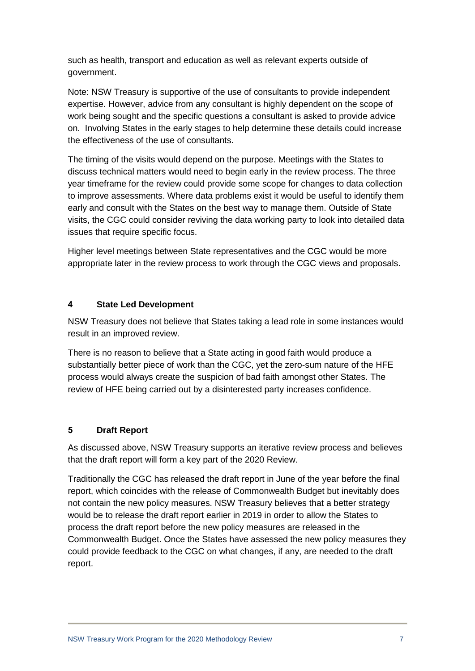such as health, transport and education as well as relevant experts outside of government.

Note: NSW Treasury is supportive of the use of consultants to provide independent expertise. However, advice from any consultant is highly dependent on the scope of work being sought and the specific questions a consultant is asked to provide advice on. Involving States in the early stages to help determine these details could increase the effectiveness of the use of consultants.

The timing of the visits would depend on the purpose. Meetings with the States to discuss technical matters would need to begin early in the review process. The three year timeframe for the review could provide some scope for changes to data collection to improve assessments. Where data problems exist it would be useful to identify them early and consult with the States on the best way to manage them. Outside of State visits, the CGC could consider reviving the data working party to look into detailed data issues that require specific focus.

Higher level meetings between State representatives and the CGC would be more appropriate later in the review process to work through the CGC views and proposals.

## **4 State Led Development**

NSW Treasury does not believe that States taking a lead role in some instances would result in an improved review.

There is no reason to believe that a State acting in good faith would produce a substantially better piece of work than the CGC, yet the zero-sum nature of the HFE process would always create the suspicion of bad faith amongst other States. The review of HFE being carried out by a disinterested party increases confidence.

## **5 Draft Report**

As discussed above, NSW Treasury supports an iterative review process and believes that the draft report will form a key part of the 2020 Review.

Traditionally the CGC has released the draft report in June of the year before the final report, which coincides with the release of Commonwealth Budget but inevitably does not contain the new policy measures. NSW Treasury believes that a better strategy would be to release the draft report earlier in 2019 in order to allow the States to process the draft report before the new policy measures are released in the Commonwealth Budget. Once the States have assessed the new policy measures they could provide feedback to the CGC on what changes, if any, are needed to the draft report.